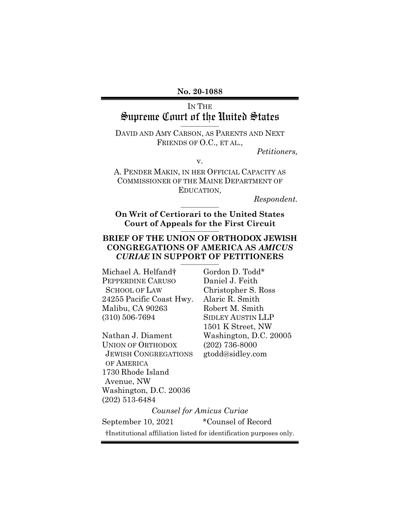**No. 20-1088** 

# IN THE Supreme Court of the United States **\_\_\_\_\_\_\_\_\_\_\_\_\_**

DAVID AND AMY CARSON, AS PARENTS AND NEXT FRIENDS OF O.C., ET AL.,

v.

*Petitioners,* 

A. PENDER MAKIN, IN HER OFFICIAL CAPACITY AS COMMISSIONER OF THE MAINE DEPARTMENT OF EDUCATION,

 $Respondent.$ 

**On Writ of Certiorari to the United States Court of Appeals for the First Circuit \_\_\_\_\_\_\_\_\_\_\_\_\_** 

### **BRIEF OF THE UNION OF ORTHODOX JEWISH CONGREGATIONS OF AMERICA AS** *AMICUS CURIAE* **IN SUPPORT OF PETITIONERS \_\_\_\_\_\_\_\_\_\_\_\_\_**

Michael A. Helfand<sup>†</sup> Gordon D. Todd<sup>\*</sup> PEPPERDINE CARUSO Daniel J. Feith SCHOOL OF LAW Christopher S. Ross 24255 Pacific Coast Hwy. Alaric R. Smith Malibu, CA 90263 Robert M. Smith (310) 506-7694 SIDLEY AUSTIN LLP

Nathan J. Diament Washington, D.C. 20005 UNION OF ORTHODOX (202) 736-8000 JEWISH CONGREGATIONS gtodd@sidley.com OF AMERICA 1730 Rhode Island Avenue, NW Washington, D.C. 20036 (202) 513-6484

1501 K Street, NW

*Counsel for Amicus Curiae* 

September 10, 2021 \*Counsel of Record

†Institutional affiliation listed for identification purposes only.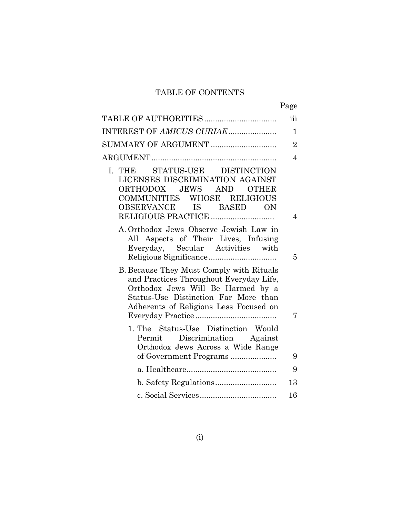## TABLE OF CONTENTS

|                                                                                                                                                                                                            | Page           |
|------------------------------------------------------------------------------------------------------------------------------------------------------------------------------------------------------------|----------------|
|                                                                                                                                                                                                            | iii            |
| INTEREST OF AMICUS CURIAE                                                                                                                                                                                  | 1              |
| SUMMARY OF ARGUMENT                                                                                                                                                                                        | $\overline{2}$ |
|                                                                                                                                                                                                            | $\overline{4}$ |
| I. THE<br>STATUS-USE DISTINCTION<br>LICENSES DISCRIMINATION AGAINST<br>ORTHODOX JEWS AND OTHER<br>COMMUNITIES WHOSE RELIGIOUS<br>OBSERVANCE IS BASED<br>ON                                                 | 4              |
| A. Orthodox Jews Observe Jewish Law in<br>All Aspects of Their Lives, Infusing<br>Everyday, Secular Activities with                                                                                        | 5              |
| B. Because They Must Comply with Rituals<br>and Practices Throughout Everyday Life,<br>Orthodox Jews Will Be Harmed by a<br>Status-Use Distinction Far More than<br>Adherents of Religions Less Focused on | 7              |
| 1. The Status-Use Distinction Would<br>Permit Discrimination Against<br>Orthodox Jews Across a Wide Range                                                                                                  | 9              |
|                                                                                                                                                                                                            | 9              |
|                                                                                                                                                                                                            | 13             |
|                                                                                                                                                                                                            | 16             |
|                                                                                                                                                                                                            |                |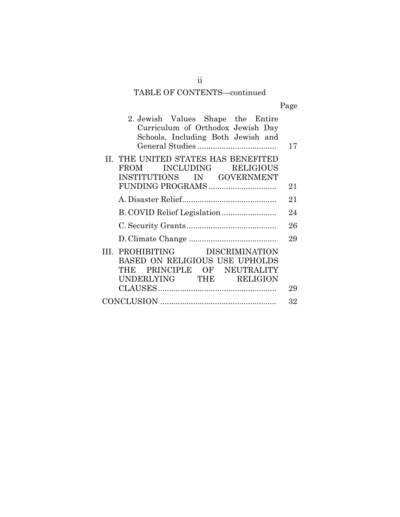# TABLE OF CONTENTS—continued

| 2. Jewish Values Shape the Entire<br>Curriculum of Orthodox Jewish Day<br>Schools, Including Both Jewish and                | 17 |
|-----------------------------------------------------------------------------------------------------------------------------|----|
| II. THE UNITED STATES HAS BENEFITED<br>FROM INCLUDING RELIGIOUS<br>INSTITUTIONS IN GOVERNMENT                               | 21 |
|                                                                                                                             | 21 |
|                                                                                                                             | 24 |
|                                                                                                                             | 26 |
|                                                                                                                             | 29 |
| III. PROHIBITING DISCRIMINATION<br>BASED ON RELIGIOUS USE UPHOLDS<br>THE PRINCIPLE OF NEUTRALITY<br>UNDERLYING THE RELIGION | 29 |
|                                                                                                                             | 32 |
|                                                                                                                             |    |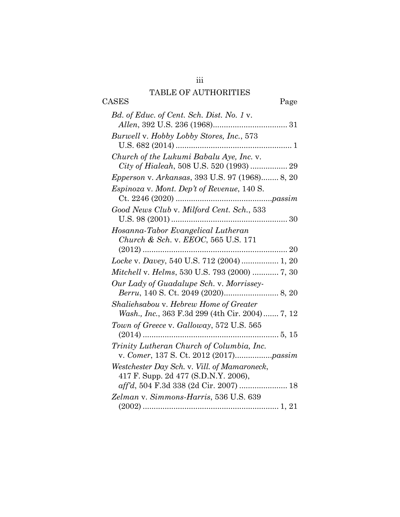## TABLE OF AUTHORITIES

| DUD OF ITO HIORITIED                                  |       |
|-------------------------------------------------------|-------|
| <b>CASES</b>                                          | Page  |
| Bd. of Educ. of Cent. Sch. Dist. No. 1 v.             |       |
|                                                       |       |
| Burwell v. Hobby Lobby Stores, Inc., 573              |       |
|                                                       |       |
| Church of the Lukumi Babalu Aye, Inc. v.              |       |
|                                                       |       |
| <i>Epperson v. Arkansas, 393 U.S. 97 (1968) 8, 20</i> |       |
| <i>Espinoza v. Mont. Dep't of Revenue, 140 S.</i>     |       |
|                                                       |       |
| Good News Club v. Milford Cent. Sch., 533             |       |
|                                                       |       |
| Hosanna-Tabor Evangelical Lutheran                    |       |
| Church & Sch. v. EEOC, 565 U.S. 171                   |       |
| $(2012)$                                              |       |
| Locke v. Davey, 540 U.S. 712 (2004)  1, 20            |       |
| <i>Mitchell v. Helms, 530 U.S. 793 (2000) </i> 7, 30  |       |
| Our Lady of Guadalupe Sch. v. Morrissey-              |       |
|                                                       |       |
| Shaliehsabou v. Hebrew Home of Greater                |       |
| Wash., Inc., 363 F.3d 299 (4th Cir. 2004) 7, 12       |       |
| Town of Greece v. Galloway, 572 U.S. 565              |       |
| $(2014)$                                              | 5, 15 |
| Trinity Lutheran Church of Columbia, Inc.             |       |
|                                                       |       |
| Westchester Day Sch. v. Vill. of Mamaroneck,          |       |
| 417 F. Supp. 2d 477 (S.D.N.Y. 2006),                  |       |
|                                                       |       |
| Zelman v. Simmons-Harris, 536 U.S. 639                |       |
|                                                       |       |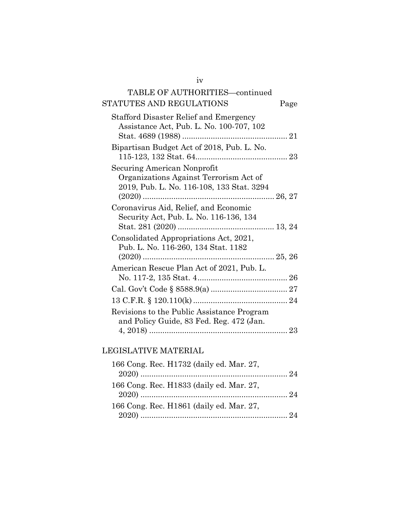# TABLE OF AUTHORITIES—continued STATUTES AND REGULATIONS Page

| Stafford Disaster Relief and Emergency<br>Assistance Act, Pub. L. No. 100-707, 102<br>Stat. 4689 (1988)            |  |
|--------------------------------------------------------------------------------------------------------------------|--|
| Bipartisan Budget Act of 2018, Pub. L. No.                                                                         |  |
| Securing American Nonprofit<br>Organizations Against Terrorism Act of<br>2019, Pub. L. No. 116-108, 133 Stat. 3294 |  |
| Coronavirus Aid, Relief, and Economic<br>Security Act, Pub. L. No. 116-136, 134                                    |  |
| Consolidated Appropriations Act, 2021,<br>Pub. L. No. 116-260, 134 Stat. 1182                                      |  |
| American Rescue Plan Act of 2021, Pub. L.                                                                          |  |
|                                                                                                                    |  |
|                                                                                                                    |  |
| Revisions to the Public Assistance Program<br>and Policy Guide, 83 Fed. Reg. 472 (Jan.                             |  |
|                                                                                                                    |  |

# LEGISLATIVE MATERIAL

| 166 Cong. Rec. H1732 (daily ed. Mar. 27, |  |
|------------------------------------------|--|
|                                          |  |
| 166 Cong. Rec. H1833 (daily ed. Mar. 27, |  |
|                                          |  |
| 166 Cong. Rec. H1861 (daily ed. Mar. 27, |  |
|                                          |  |

iv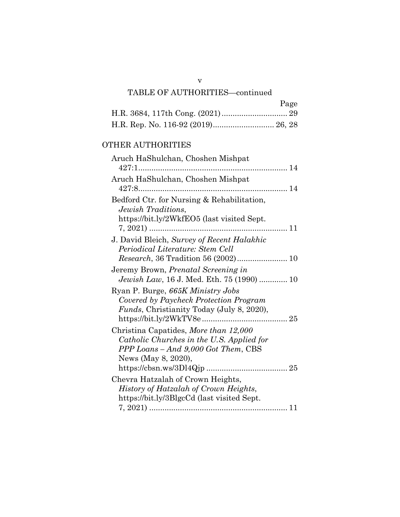| Page |
|------|
|      |
|      |

## OTHER AUTHORITIES

| Aruch HaShulchan, Choshen Mishpat                                                                                                                |  |
|--------------------------------------------------------------------------------------------------------------------------------------------------|--|
| Aruch HaShulchan, Choshen Mishpat                                                                                                                |  |
| Bedford Ctr. for Nursing & Rehabilitation,<br>Jewish Traditions.<br>https://bit.ly/2WkfEO5 (last visited Sept.                                   |  |
| $7, 2021)$<br>. 11<br>J. David Bleich, Survey of Recent Halakhic                                                                                 |  |
| Periodical Literature: Stem Cell                                                                                                                 |  |
| Jeremy Brown, Prenatal Screening in<br><i>Jewish Law</i> , 16 J. Med. Eth. 75 (1990)  10                                                         |  |
| Ryan P. Burge, 665K Ministry Jobs<br>Covered by Paycheck Protection Program<br><i>Funds</i> , Christianity Today (July 8, 2020),                 |  |
| Christina Capatides, More than 12,000<br>Catholic Churches in the U.S. Applied for<br>PPP Loans – And 9,000 Got Them, CBS<br>News (May 8, 2020), |  |
| Chevra Hatzalah of Crown Heights,                                                                                                                |  |
| History of Hatzalah of Crown Heights,                                                                                                            |  |
| https://bit.ly/3BlgcCd (last visited Sept.                                                                                                       |  |
|                                                                                                                                                  |  |

v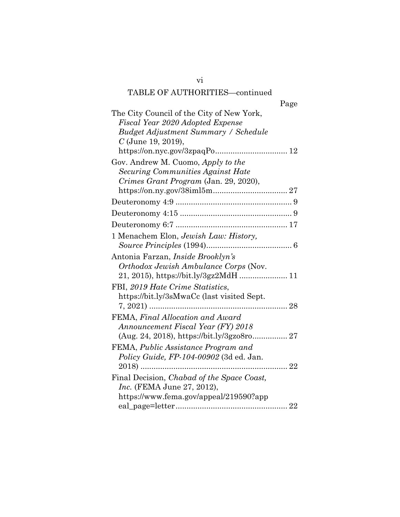| Page                                                                           |
|--------------------------------------------------------------------------------|
| The City Council of the City of New York,                                      |
| Fiscal Year 2020 Adopted Expense                                               |
| <b>Budget Adjustment Summary / Schedule</b>                                    |
| $C$ (June 19, 2019),                                                           |
| https://on.nyc.gov/3zpaqPo<br>12                                               |
| Gov. Andrew M. Cuomo, Apply to the                                             |
| Securing Communities Against Hate                                              |
| Crimes Grant Program (Jan. 29, 2020),                                          |
|                                                                                |
|                                                                                |
|                                                                                |
|                                                                                |
| 1 Menachem Elon, Jewish Law: History,                                          |
|                                                                                |
| Antonia Farzan, Inside Brooklyn's                                              |
| Orthodox Jewish Ambulance Corps (Nov.                                          |
| 21, 2015), https://bit.ly/3gz2MdH  11                                          |
| FBI, 2019 Hate Crime Statistics,                                               |
| https://bit.ly/3sMwaCc (last visited Sept.                                     |
|                                                                                |
| FEMA, Final Allocation and Award                                               |
| Announcement Fiscal Year (FY) 2018                                             |
|                                                                                |
|                                                                                |
| FEMA, Public Assistance Program and<br>Policy Guide, FP-104-00902 (3d ed. Jan. |
|                                                                                |
|                                                                                |
| Final Decision, Chabad of the Space Coast,                                     |
| <i>Inc.</i> (FEMA June 27, 2012),                                              |
| https://www.fema.gov/appeal/219590?app                                         |
|                                                                                |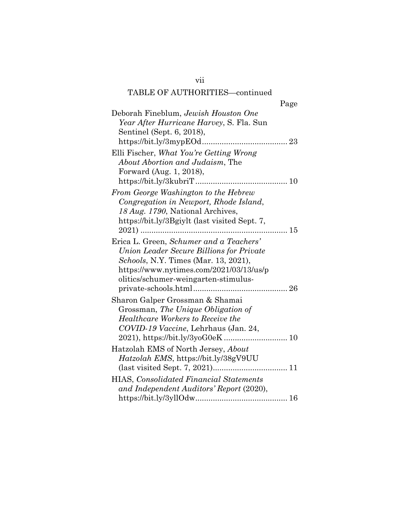| Page                                                                                                                                                                                                                   |  |
|------------------------------------------------------------------------------------------------------------------------------------------------------------------------------------------------------------------------|--|
| Deborah Fineblum, Jewish Houston One<br>Year After Hurricane Harvey, S. Fla. Sun                                                                                                                                       |  |
| Sentinel (Sept. 6, 2018),                                                                                                                                                                                              |  |
|                                                                                                                                                                                                                        |  |
| Elli Fischer, What You're Getting Wrong<br>About Abortion and Judaism, The                                                                                                                                             |  |
| Forward (Aug. 1, 2018),                                                                                                                                                                                                |  |
|                                                                                                                                                                                                                        |  |
| From George Washington to the Hebrew<br>Congregation in Newport, Rhode Island,<br>18 Aug. 1790, National Archives,                                                                                                     |  |
| https://bit.ly/3Bgiylt (last visited Sept. 7,                                                                                                                                                                          |  |
| Erica L. Green, Schumer and a Teachers'<br>Union Leader Secure Billions for Private<br><i>Schools</i> , N.Y. Times (Mar. 13, 2021),<br>https://www.nytimes.com/2021/03/13/us/p<br>olitics/schumer-weingarten-stimulus- |  |
| Sharon Galper Grossman & Shamai<br>Grossman, The Unique Obligation of<br>Healthcare Workers to Receive the<br>COVID-19 Vaccine, Lehrhaus (Jan. 24,                                                                     |  |
| Hatzolah EMS of North Jersey, About<br>Hatzolah EMS, https://bit.ly/38gV9UU                                                                                                                                            |  |
| <b>HIAS, Consolidated Financial Statements</b><br>and Independent Auditors' Report (2020),                                                                                                                             |  |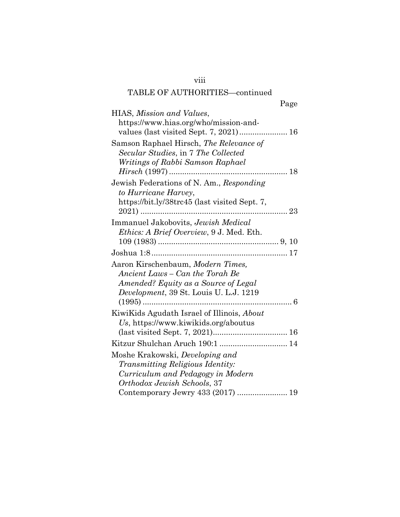| Page                                                                                                                                                                                |  |
|-------------------------------------------------------------------------------------------------------------------------------------------------------------------------------------|--|
| HIAS, Mission and Values,                                                                                                                                                           |  |
| https://www.hias.org/who/mission-and-                                                                                                                                               |  |
| Samson Raphael Hirsch, The Relevance of<br>Secular Studies, in 7 The Collected<br>Writings of Rabbi Samson Raphael                                                                  |  |
| Jewish Federations of N. Am., Responding<br>to Hurricane Harvey,<br>https://bit.ly/38trc45 (last visited Sept. 7,                                                                   |  |
|                                                                                                                                                                                     |  |
| Immanuel Jakobovits, Jewish Medical<br>Ethics: A Brief Overview, 9 J. Med. Eth.                                                                                                     |  |
|                                                                                                                                                                                     |  |
| Aaron Kirschenbaum, Modern Times.<br>Ancient Laws – Can the Torah Be<br>Amended? Equity as a Source of Legal<br>Development, 39 St. Louis U. L.J. 1219                              |  |
| KiwiKids Agudath Israel of Illinois, About<br>Us, https://www.kiwikids.org/aboutus                                                                                                  |  |
| Kitzur Shulchan Aruch 190:1  14                                                                                                                                                     |  |
| Moshe Krakowski, Developing and<br><i>Transmitting Religious Identity:</i><br>Curriculum and Pedagogy in Modern<br>Orthodox Jewish Schools, 37<br>Contemporary Jewry 433 (2017)  19 |  |

viii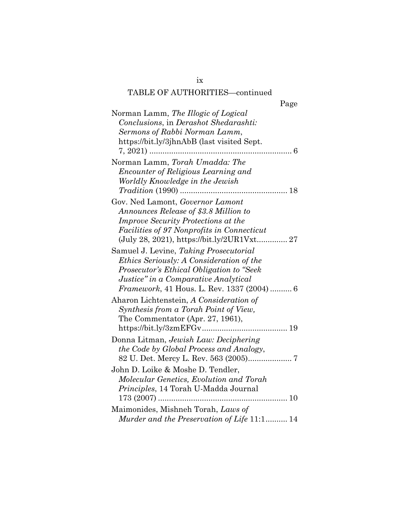|--|

| Norman Lamm, The Illogic of Logical               |
|---------------------------------------------------|
| Conclusions, in Derashot Shedarashti:             |
| Sermons of Rabbi Norman Lamm,                     |
| https://bit.ly/3jhnAbB (last visited Sept.        |
|                                                   |
| Norman Lamm, Torah Umadda: The                    |
| <i>Encounter of Religious Learning and</i>        |
| Worldly Knowledge in the Jewish                   |
|                                                   |
| Gov. Ned Lamont, Governor Lamont                  |
| Announces Release of \$3.8 Million to             |
| Improve Security Protections at the               |
| Facilities of 97 Nonprofits in Connecticut        |
|                                                   |
| Samuel J. Levine, Taking Prosecutorial            |
| <i>Ethics Seriously: A Consideration of the</i>   |
| Prosecutor's Ethical Obligation to "Seek"         |
| Justice" in a Comparative Analytical              |
| <i>Framework</i> , 41 Hous. L. Rev. 1337 (2004) 6 |
| Aharon Lichtenstein, A Consideration of           |
| Synthesis from a Torah Point of View,             |
| The Commentator (Apr. 27, 1961),                  |
|                                                   |
| Donna Litman, Jewish Law: Deciphering             |
| the Code by Global Process and Analogy,           |
|                                                   |
| John D. Loike & Moshe D. Tendler,                 |
| Molecular Genetics, Evolution and Torah           |
| Principles, 14 Torah U-Madda Journal              |
|                                                   |
| Maimonides, Mishneh Torah, Laws of                |
| Murder and the Preservation of Life 11:1 14       |

ix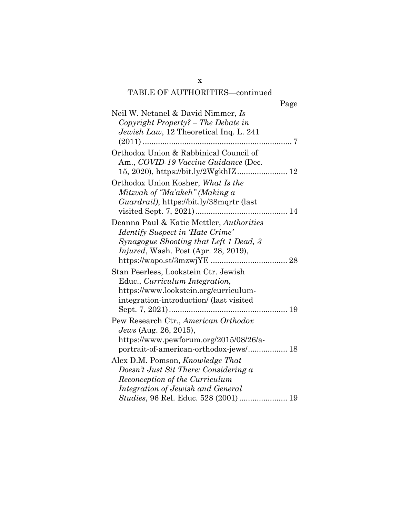| Page                                         |  |
|----------------------------------------------|--|
| Neil W. Netanel & David Nimmer, <i>Is</i>    |  |
| Copyright Property? - The Debate in          |  |
| Jewish Law, 12 Theoretical Inq. L. 241       |  |
|                                              |  |
| Orthodox Union & Rabbinical Council of       |  |
| Am., COVID-19 Vaccine Guidance (Dec.         |  |
|                                              |  |
| Orthodox Union Kosher, What Is the           |  |
| Mitzvah of "Ma'akeh" (Making a               |  |
| Guardrail), https://bit.ly/38mqrtr (last     |  |
|                                              |  |
| Deanna Paul & Katie Mettler, Authorities     |  |
| Identify Suspect in 'Hate Crime'             |  |
| Synagogue Shooting that Left 1 Dead, 3       |  |
| <i>Injured</i> , Wash. Post (Apr. 28, 2019), |  |
|                                              |  |
| Stan Peerless, Lookstein Ctr. Jewish         |  |
| Educ., Curriculum Integration,               |  |
| https://www.lookstein.org/curriculum-        |  |
| integration-introduction/ (last visited      |  |
|                                              |  |
| Pew Research Ctr., American Orthodox         |  |
| <i>Jews</i> (Aug. 26, 2015),                 |  |
| https://www.pewforum.org/2015/08/26/a-       |  |
| portrait-of-american-orthodox-jews/ 18       |  |
| Alex D.M. Pomson, <i>Knowledge That</i>      |  |
| Doesn't Just Sit There: Considering a        |  |
| Reconception of the Curriculum               |  |
| Integration of Jewish and General            |  |
| Studies, 96 Rel. Educ. 528 (2001)  19        |  |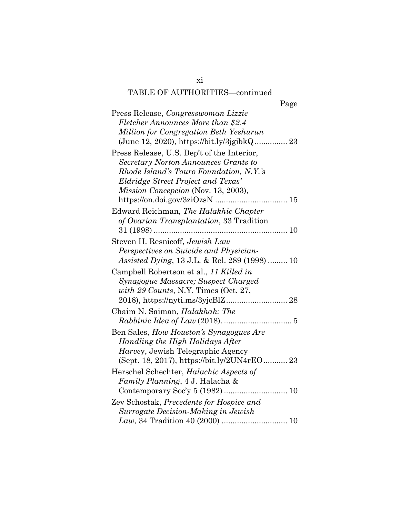| Page                                                  |
|-------------------------------------------------------|
| Press Release, Congresswoman Lizzie                   |
| Fletcher Announces More than \$2.4                    |
| Million for Congregation Beth Yeshurun                |
|                                                       |
| Press Release, U.S. Dep't of the Interior,            |
| Secretary Norton Announces Grants to                  |
| Rhode Island's Touro Foundation, N.Y.'s               |
| Eldridge Street Project and Texas'                    |
| <i>Mission Concepcion</i> (Nov. 13, 2003),            |
|                                                       |
| Edward Reichman, The Halakhic Chapter                 |
| of Ovarian Transplantation, 33 Tradition              |
|                                                       |
| Steven H. Resnicoff, Jewish Law                       |
| Perspectives on Suicide and Physician-                |
| <i>Assisted Dying</i> , 13 J.L. & Rel. 289 (1998)  10 |
| Campbell Robertson et al., 11 Killed in               |
| Synagogue Massacre; Suspect Charged                   |
| with 29 Counts, N.Y. Times (Oct. 27,                  |
|                                                       |
| Chaim N. Saiman, Halakhah: The                        |
|                                                       |
| Ben Sales, How Houston's Synagogues Are               |
| Handling the High Holidays After                      |
| <i>Harvey</i> , Jewish Telegraphic Agency             |
| (Sept. 18, 2017), https://bit.ly/2UN4rEO 23           |
| Herschel Schechter, Halachic Aspects of               |
| Family Planning, 4 J. Halacha &                       |
|                                                       |
| Zev Schostak, Precedents for Hospice and              |
| Surrogate Decision-Making in Jewish                   |
|                                                       |

xi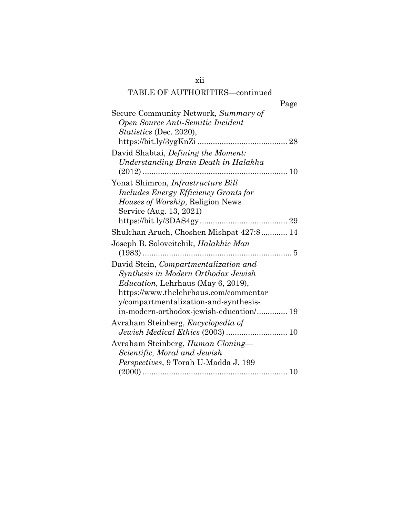| Page                                                                                                                                                                                                                                                           |  |
|----------------------------------------------------------------------------------------------------------------------------------------------------------------------------------------------------------------------------------------------------------------|--|
| Secure Community Network, Summary of<br>Open Source Anti-Semitic Incident<br><i>Statistics</i> (Dec. 2020),                                                                                                                                                    |  |
| David Shabtai, <i>Defining the Moment:</i><br>Understanding Brain Death in Halakha                                                                                                                                                                             |  |
| Yonat Shimron, Infrastructure Bill<br>Includes Energy Efficiency Grants for<br>Houses of Worship, Religion News<br>Service (Aug. 13, 2021)                                                                                                                     |  |
| Shulchan Aruch, Choshen Mishpat 427:8 14                                                                                                                                                                                                                       |  |
| Joseph B. Soloveitchik, <i>Halakhic Man</i>                                                                                                                                                                                                                    |  |
| David Stein, <i>Compartmentalization and</i><br>Synthesis in Modern Orthodox Jewish<br><i>Education</i> , Lehrhaus (May 6, 2019),<br>https://www.thelehrhaus.com/commentar<br>y/compartmentalization-and-synthesis-<br>in-modern-orthodox-jewish-education/ 19 |  |
| Avraham Steinberg, <i>Encyclopedia of</i>                                                                                                                                                                                                                      |  |
| Avraham Steinberg, Human Cloning—<br>Scientific, Moral and Jewish<br>Perspectives, 9 Torah U-Madda J. 199                                                                                                                                                      |  |

xii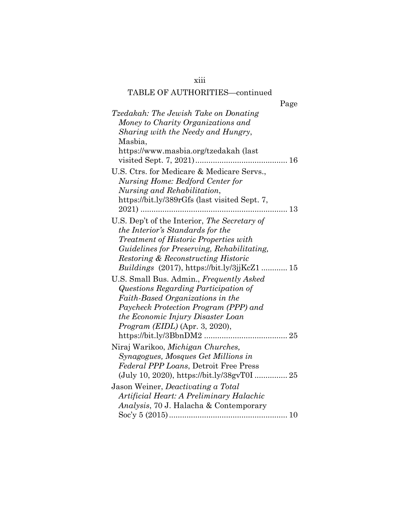xiii

| Page                                          |
|-----------------------------------------------|
| Tzedakah: The Jewish Take on Donating         |
| Money to Charity Organizations and            |
| Sharing with the Needy and Hungry,            |
| Masbia,                                       |
| https://www.masbia.org/tzedakah (last         |
| visited Sept. 7, 2021)                        |
| U.S. Ctrs. for Medicare & Medicare Servs.,    |
| <b>Nursing Home: Bedford Center for</b>       |
| Nursing and Rehabilitation,                   |
| https://bit.ly/389rGfs (last visited Sept. 7, |
|                                               |
| U.S. Dep't of the Interior, The Secretary of  |
| the Interior's Standards for the              |
| <i>Treatment of Historic Properties with</i>  |
| Guidelines for Preserving, Rehabilitating,    |
| Restoring & Reconstructing Historic           |
|                                               |
| U.S. Small Bus. Admin., Frequently Asked      |
| Questions Regarding Participation of          |
| Faith-Based Organizations in the              |
| Paycheck Protection Program (PPP) and         |
| the Economic Injury Disaster Loan             |
| Program (EIDL) (Apr. 3, 2020),                |
|                                               |
| Niraj Warikoo, Michigan Churches,             |
| Synagogues, Mosques Get Millions in           |
| Federal PPP Loans, Detroit Free Press         |
|                                               |
| Jason Weiner, <i>Deactivating a Total</i>     |
| Artificial Heart: A Preliminary Halachic      |
| Analysis, 70 J. Halacha & Contemporary        |
|                                               |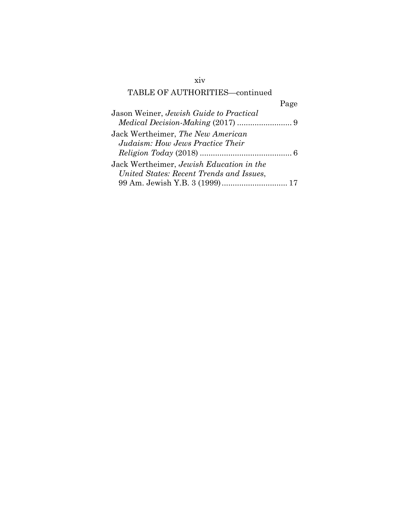## xiv

# TABLE OF AUTHORITIES—continued

|                                          | Page |
|------------------------------------------|------|
| Jason Weiner, Jewish Guide to Practical  |      |
|                                          |      |
| Jack Wertheimer, The New American        |      |
| Judaism: How Jews Practice Their         |      |
|                                          |      |
| Jack Wertheimer, Jewish Education in the |      |
| United States: Recent Trends and Issues, |      |
| 99 Am. Jewish Y.B. 3 (1999) 17           |      |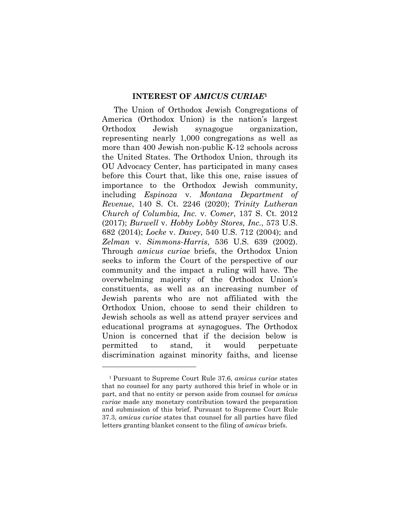#### **INTEREST OF** *AMICUS CURIAE***<sup>1</sup>**

The Union of Orthodox Jewish Congregations of America (Orthodox Union) is the nation's largest Orthodox Jewish synagogue organization, representing nearly 1,000 congregations as well as more than 400 Jewish non-public K-12 schools across the United States. The Orthodox Union, through its OU Advocacy Center, has participated in many cases before this Court that, like this one, raise issues of importance to the Orthodox Jewish community, including *Espinoza* v. *Montana Department of Revenue*, 140 S. Ct. 2246 (2020); *Trinity Lutheran Church of Columbia, Inc.* v. *Comer*, 137 S. Ct. 2012 (2017); *Burwell* v. *Hobby Lobby Stores, Inc.*, 573 U.S. 682 (2014); *Locke* v. *Davey*, 540 U.S. 712 (2004); and *Zelman* v. *Simmons-Harris*, 536 U.S. 639 (2002). Through *amicus curiae* briefs, the Orthodox Union seeks to inform the Court of the perspective of our community and the impact a ruling will have. The overwhelming majority of the Orthodox Union's constituents, as well as an increasing number of Jewish parents who are not affiliated with the Orthodox Union, choose to send their children to Jewish schools as well as attend prayer services and educational programs at synagogues. The Orthodox Union is concerned that if the decision below is permitted to stand, it would perpetuate discrimination against minority faiths, and license

<sup>1</sup> Pursuant to Supreme Court Rule 37.6, *amicus curiae* states that no counsel for any party authored this brief in whole or in part, and that no entity or person aside from counsel for *amicus curiae* made any monetary contribution toward the preparation and submission of this brief. Pursuant to Supreme Court Rule 37.3, *amicus curiae* states that counsel for all parties have filed letters granting blanket consent to the filing of *amicus* briefs.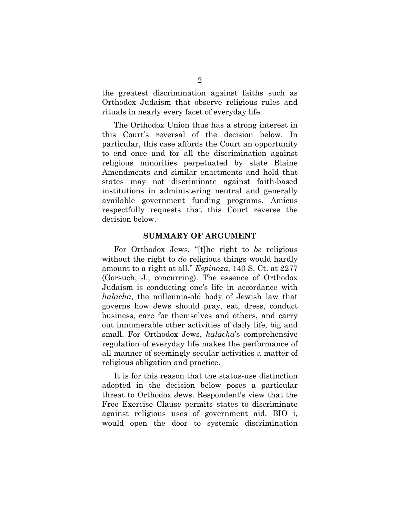the greatest discrimination against faiths such as Orthodox Judaism that observe religious rules and rituals in nearly every facet of everyday life.

The Orthodox Union thus has a strong interest in this Court's reversal of the decision below. In particular, this case affords the Court an opportunity to end once and for all the discrimination against religious minorities perpetuated by state Blaine Amendments and similar enactments and hold that states may not discriminate against faith-based institutions in administering neutral and generally available government funding programs. Amicus respectfully requests that this Court reverse the decision below.

#### **SUMMARY OF ARGUMENT**

For Orthodox Jews, "[t]he right to *be* religious without the right to *do* religious things would hardly amount to a right at all." *Espinoza*, 140 S. Ct. at 2277 (Gorsuch, J., concurring). The essence of Orthodox Judaism is conducting one's life in accordance with *halacha*, the millennia-old body of Jewish law that governs how Jews should pray, eat, dress, conduct business, care for themselves and others, and carry out innumerable other activities of daily life, big and small. For Orthodox Jews, *halacha*'s comprehensive regulation of everyday life makes the performance of all manner of seemingly secular activities a matter of religious obligation and practice.

It is for this reason that the status-use distinction adopted in the decision below poses a particular threat to Orthodox Jews. Respondent's view that the Free Exercise Clause permits states to discriminate against religious uses of government aid, BIO i, would open the door to systemic discrimination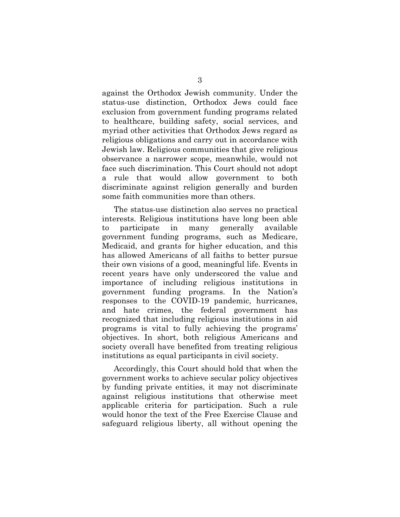against the Orthodox Jewish community. Under the status-use distinction, Orthodox Jews could face exclusion from government funding programs related to healthcare, building safety, social services, and myriad other activities that Orthodox Jews regard as religious obligations and carry out in accordance with Jewish law. Religious communities that give religious observance a narrower scope, meanwhile, would not face such discrimination. This Court should not adopt a rule that would allow government to both discriminate against religion generally and burden some faith communities more than others.

The status-use distinction also serves no practical interests. Religious institutions have long been able to participate in many generally available government funding programs, such as Medicare, Medicaid, and grants for higher education, and this has allowed Americans of all faiths to better pursue their own visions of a good, meaningful life. Events in recent years have only underscored the value and importance of including religious institutions in government funding programs. In the Nation's responses to the COVID-19 pandemic, hurricanes, and hate crimes, the federal government has recognized that including religious institutions in aid programs is vital to fully achieving the programs' objectives. In short, both religious Americans and society overall have benefited from treating religious institutions as equal participants in civil society.

Accordingly, this Court should hold that when the government works to achieve secular policy objectives by funding private entities, it may not discriminate against religious institutions that otherwise meet applicable criteria for participation. Such a rule would honor the text of the Free Exercise Clause and safeguard religious liberty, all without opening the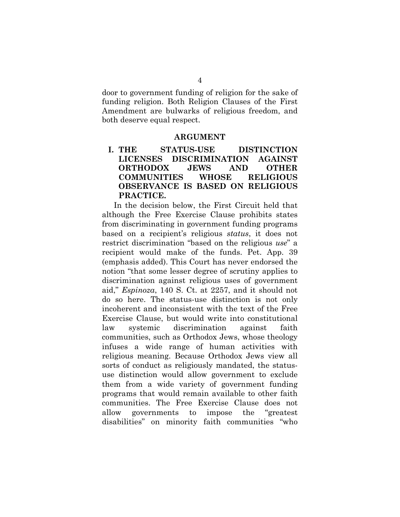door to government funding of religion for the sake of funding religion. Both Religion Clauses of the First Amendment are bulwarks of religious freedom, and both deserve equal respect.

#### **ARGUMENT**

## **I. THE STATUS-USE DISTINCTION LICENSES DISCRIMINATION AGAINST ORTHODOX JEWS AND OTHER COMMUNITIES WHOSE RELIGIOUS OBSERVANCE IS BASED ON RELIGIOUS PRACTICE.**

In the decision below, the First Circuit held that although the Free Exercise Clause prohibits states from discriminating in government funding programs based on a recipient's religious *status*, it does not restrict discrimination "based on the religious *use*" a recipient would make of the funds. Pet. App. 39 (emphasis added). This Court has never endorsed the notion "that some lesser degree of scrutiny applies to discrimination against religious uses of government aid," *Espinoza*, 140 S. Ct. at 2257, and it should not do so here. The status-use distinction is not only incoherent and inconsistent with the text of the Free Exercise Clause, but would write into constitutional law systemic discrimination against faith communities, such as Orthodox Jews, whose theology infuses a wide range of human activities with religious meaning. Because Orthodox Jews view all sorts of conduct as religiously mandated, the statususe distinction would allow government to exclude them from a wide variety of government funding programs that would remain available to other faith communities. The Free Exercise Clause does not allow governments to impose the "greatest disabilities" on minority faith communities "who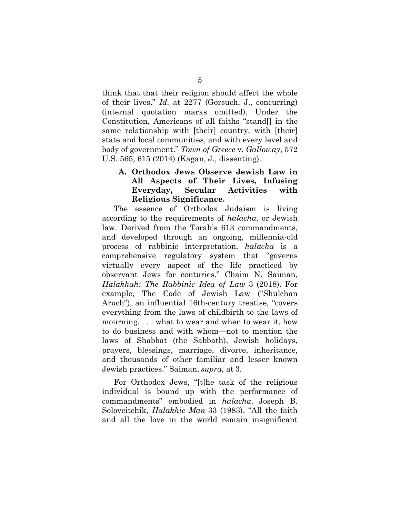think that that their religion should affect the whole of their lives." *Id.* at 2277 (Gorsuch, J., concurring) (internal quotation marks omitted). Under the Constitution, Americans of all faiths "stand[] in the same relationship with [their] country, with [their] state and local communities, and with every level and body of government." *Town of Greece* v. *Galloway*, 572 U.S. 565, 615 (2014) (Kagan, J., dissenting).

## **A. Orthodox Jews Observe Jewish Law in All Aspects of Their Lives, Infusing Everyday, Secular Activities with Religious Significance.**

The essence of Orthodox Judaism is living according to the requirements of *halacha*, or Jewish law. Derived from the Torah's 613 commandments, and developed through an ongoing, millennia-old process of rabbinic interpretation, *halacha* is a comprehensive regulatory system that "governs virtually every aspect of the life practiced by observant Jews for centuries." Chaim N. Saiman, *Halakhah: The Rabbinic Idea of Law* 3 (2018). For example, The Code of Jewish Law ("Shulchan Aruch"), an influential 16th-century treatise, "covers everything from the laws of childbirth to the laws of mourning. . . . what to wear and when to wear it, how to do business and with whom—not to mention the laws of Shabbat (the Sabbath), Jewish holidays, prayers, blessings, marriage, divorce, inheritance, and thousands of other familiar and lesser known Jewish practices." Saiman, *supra*, at 3.

For Orthodox Jews, "[t]he task of the religious individual is bound up with the performance of commandments" embodied in *halacha*. Joseph B. Soloveitchik, *Halakhic Man* 33 (1983). "All the faith and all the love in the world remain insignificant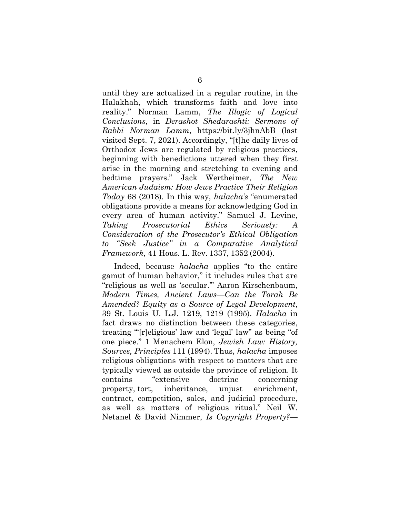until they are actualized in a regular routine, in the Halakhah, which transforms faith and love into reality." Norman Lamm, *The Illogic of Logical Conclusions*, in *Derashot Shedarashti: Sermons of Rabbi Norman Lamm*, https://bit.ly/3jhnAbB (last visited Sept. 7, 2021). Accordingly, "[t]he daily lives of Orthodox Jews are regulated by religious practices, beginning with benedictions uttered when they first arise in the morning and stretching to evening and bedtime prayers." Jack Wertheimer, *The New American Judaism: How Jews Practice Their Religion Today* 68 (2018). In this way, *halacha's* "enumerated obligations provide a means for acknowledging God in every area of human activity." Samuel J. Levine, *Taking Prosecutorial Ethics Seriously: A Consideration of the Prosecutor's Ethical Obligation to "Seek Justice" in a Comparative Analytical Framework*, 41 Hous. L. Rev. 1337, 1352 (2004).

Indeed, because *halacha* applies "to the entire gamut of human behavior," it includes rules that are "religious as well as 'secular.'" Aaron Kirschenbaum, *Modern Times, Ancient Laws—Can the Torah Be Amended? Equity as a Source of Legal Development*, 39 St. Louis U. L.J. 1219, 1219 (1995). *Halacha* in fact draws no distinction between these categories, treating "'[r]eligious' law and 'legal' law" as being "of one piece." 1 Menachem Elon, *Jewish Law: History, Sources, Principles* 111 (1994). Thus, *halacha* imposes religious obligations with respect to matters that are typically viewed as outside the province of religion. It contains "extensive doctrine concerning property, tort, inheritance, unjust enrichment, contract, competition, sales, and judicial procedure, as well as matters of religious ritual." Neil W. Netanel & David Nimmer, *Is Copyright Property?—*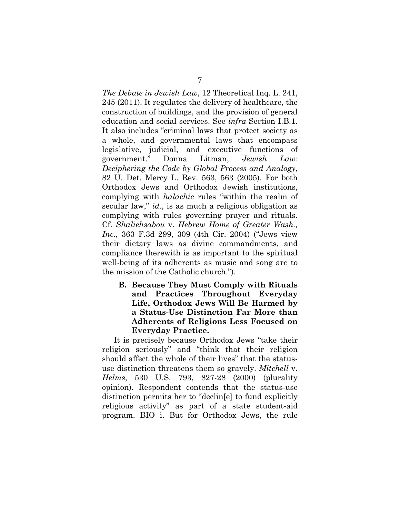*The Debate in Jewish Law*, 12 Theoretical Inq. L. 241, 245 (2011). It regulates the delivery of healthcare, the construction of buildings, and the provision of general education and social services. See *infra* Section I.B.1. It also includes "criminal laws that protect society as a whole, and governmental laws that encompass legislative, judicial, and executive functions of government." Donna Litman, *Jewish Law: Deciphering the Code by Global Process and Analogy*, 82 U. Det. Mercy L. Rev. 563, 563 (2005). For both Orthodox Jews and Orthodox Jewish institutions, complying with *halachic* rules "within the realm of secular law," *id.*, is as much a religious obligation as complying with rules governing prayer and rituals. Cf. *Shaliehsabou* v. *Hebrew Home of Greater Wash., Inc.*, 363 F.3d 299, 309 (4th Cir. 2004) ("Jews view their dietary laws as divine commandments, and compliance therewith is as important to the spiritual well-being of its adherents as music and song are to the mission of the Catholic church.").

**B. Because They Must Comply with Rituals and Practices Throughout Everyday Life, Orthodox Jews Will Be Harmed by a Status-Use Distinction Far More than Adherents of Religions Less Focused on Everyday Practice.** 

It is precisely because Orthodox Jews "take their religion seriously" and "think that their religion should affect the whole of their lives" that the statususe distinction threatens them so gravely. *Mitchell* v. *Helms*, 530 U.S. 793, 827-28 (2000) (plurality opinion). Respondent contends that the status-use distinction permits her to "declin[e] to fund explicitly religious activity" as part of a state student-aid program. BIO i. But for Orthodox Jews, the rule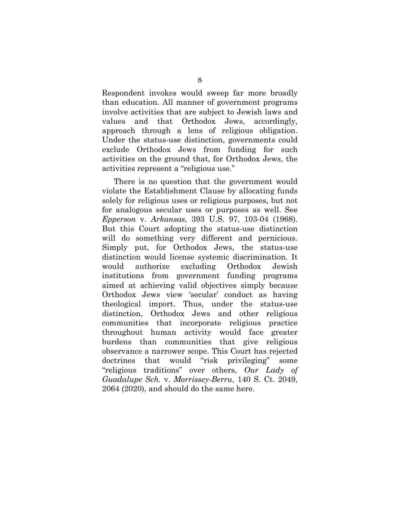Respondent invokes would sweep far more broadly than education. All manner of government programs involve activities that are subject to Jewish laws and values and that Orthodox Jews, accordingly, approach through a lens of religious obligation. Under the status-use distinction, governments could exclude Orthodox Jews from funding for such activities on the ground that, for Orthodox Jews, the activities represent a "religious use."

There is no question that the government would violate the Establishment Clause by allocating funds solely for religious uses or religious purposes, but not for analogous secular uses or purposes as well. See *Epperson* v. *Arkansas*, 393 U.S. 97, 103-04 (1968). But this Court adopting the status-use distinction will do something very different and pernicious. Simply put, for Orthodox Jews, the status-use distinction would license systemic discrimination. It would authorize excluding Orthodox Jewish institutions from government funding programs aimed at achieving valid objectives simply because Orthodox Jews view 'secular' conduct as having theological import. Thus, under the status-use distinction, Orthodox Jews and other religious communities that incorporate religious practice throughout human activity would face greater burdens than communities that give religious observance a narrower scope. This Court has rejected doctrines that would "risk privileging" some "religious traditions" over others, *Our Lady of Guadalupe Sch.* v. *Morrissey-Berru*, 140 S. Ct. 2049, 2064 (2020), and should do the same here.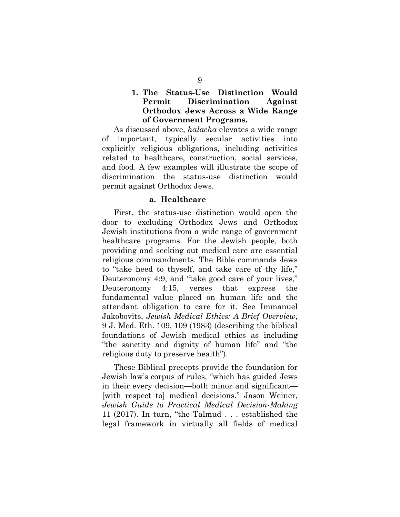## **1. The Status-Use Distinction Would Permit Discrimination Against Orthodox Jews Across a Wide Range of Government Programs.**

As discussed above, *halacha* elevates a wide range of important, typically secular activities into explicitly religious obligations, including activities related to healthcare, construction, social services, and food. A few examples will illustrate the scope of discrimination the status-use distinction would permit against Orthodox Jews.

#### **a. Healthcare**

First, the status-use distinction would open the door to excluding Orthodox Jews and Orthodox Jewish institutions from a wide range of government healthcare programs. For the Jewish people, both providing and seeking out medical care are essential religious commandments. The Bible commands Jews to "take heed to thyself, and take care of thy life," Deuteronomy 4:9, and "take good care of your lives," Deuteronomy 4:15, verses that express the fundamental value placed on human life and the attendant obligation to care for it. See Immanuel Jakobovits, *Jewish Medical Ethics: A Brief Overview*, 9 J. Med. Eth. 109, 109 (1983) (describing the biblical foundations of Jewish medical ethics as including "the sanctity and dignity of human life" and "the religious duty to preserve health").

These Biblical precepts provide the foundation for Jewish law's corpus of rules, "which has guided Jews in their every decision—both minor and significant— [with respect to] medical decisions." Jason Weiner, *Jewish Guide to Practical Medical Decision-Making* 11 (2017). In turn, "the Talmud . . . established the legal framework in virtually all fields of medical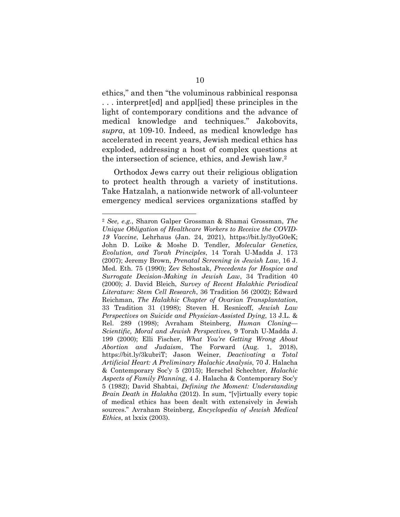ethics," and then "the voluminous rabbinical responsa . . . interpret[ed] and appl[ied] these principles in the light of contemporary conditions and the advance of medical knowledge and techniques." Jakobovits, *supra*, at 109-10. Indeed, as medical knowledge has accelerated in recent years, Jewish medical ethics has exploded, addressing a host of complex questions at the intersection of science, ethics, and Jewish law.2

Orthodox Jews carry out their religious obligation to protect health through a variety of institutions. Take Hatzalah, a nationwide network of all-volunteer emergency medical services organizations staffed by

<sup>2</sup> *See, e.g.*, Sharon Galper Grossman & Shamai Grossman, *The Unique Obligation of Healthcare Workers to Receive the COVID-19 Vaccine*, Lehrhaus (Jan. 24, 2021), https://bit.ly/3yoG0eK; John D. Loike & Moshe D. Tendler, *Molecular Genetics, Evolution, and Torah Principles*, 14 Torah U-Madda J. 173 (2007); Jeremy Brown, *Prenatal Screening in Jewish Law*, 16 J. Med. Eth. 75 (1990); Zev Schostak, *Precedents for Hospice and Surrogate Decision-Making in Jewish Law*, 34 Tradition 40 (2000); J. David Bleich, *Survey of Recent Halakhic Periodical Literature: Stem Cell Research*, 36 Tradition 56 (2002); Edward Reichman, *The Halakhic Chapter of Ovarian Transplantation*, 33 Tradition 31 (1998); Steven H. Resnicoff, *Jewish Law Perspectives on Suicide and Physician-Assisted Dying*, 13 J.L. & Rel. 289 (1998); Avraham Steinberg, *Human Cloning— Scientific, Moral and Jewish Perspectives*, 9 Torah U-Madda J. 199 (2000); Elli Fischer, *What You're Getting Wrong About Abortion and Judaism*, The Forward (Aug. 1, 2018), https://bit.ly/3kubriT; Jason Weiner, *Deactivating a Total Artificial Heart: A Preliminary Halachic Analysis*, 70 J. Halacha & Contemporary Soc'y 5 (2015); Herschel Schechter, *Halachic Aspects of Family Planning*, 4 J. Halacha & Contemporary Soc'y 5 (1982); David Shabtai, *Defining the Moment: Understanding Brain Death in Halakha* (2012). In sum, "[v]irtually every topic of medical ethics has been dealt with extensively in Jewish sources." Avraham Steinberg, *Encyclopedia of Jewish Medical Ethics*, at lxxix (2003).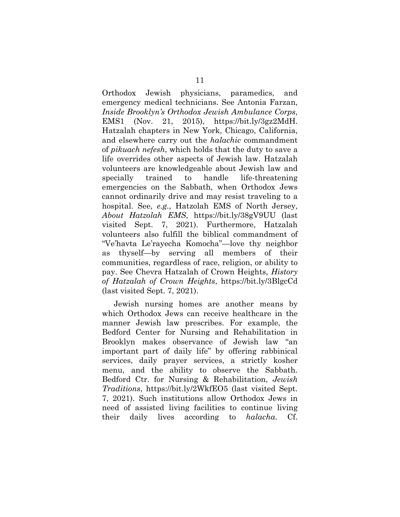Orthodox Jewish physicians, paramedics, and emergency medical technicians. See Antonia Farzan, *Inside Brooklyn's Orthodox Jewish Ambulance Corps*, EMS1 (Nov. 21, 2015), https://bit.ly/3gz2MdH. Hatzalah chapters in New York, Chicago, California, and elsewhere carry out the *halachic* commandment of *pikuach nefesh*, which holds that the duty to save a life overrides other aspects of Jewish law. Hatzalah volunteers are knowledgeable about Jewish law and specially trained to handle life-threatening emergencies on the Sabbath, when Orthodox Jews cannot ordinarily drive and may resist traveling to a hospital. See, *e.g.*, Hatzolah EMS of North Jersey, *About Hatzolah EMS*, https://bit.ly/38gV9UU (last visited Sept. 7, 2021). Furthermore, Hatzalah volunteers also fulfill the biblical commandment of "Ve'havta Le'rayecha Komocha"—love thy neighbor as thyself—by serving all members of their communities, regardless of race, religion, or ability to pay. See Chevra Hatzalah of Crown Heights, *History of Hatzalah of Crown Heights*, https://bit.ly/3BlgcCd (last visited Sept. 7, 2021).

Jewish nursing homes are another means by which Orthodox Jews can receive healthcare in the manner Jewish law prescribes. For example, the Bedford Center for Nursing and Rehabilitation in Brooklyn makes observance of Jewish law "an important part of daily life" by offering rabbinical services, daily prayer services, a strictly kosher menu, and the ability to observe the Sabbath. Bedford Ctr. for Nursing & Rehabilitation, *Jewish Traditions*, https://bit.ly/2WkfEO5 (last visited Sept. 7, 2021). Such institutions allow Orthodox Jews in need of assisted living facilities to continue living their daily lives according to *halacha*. Cf.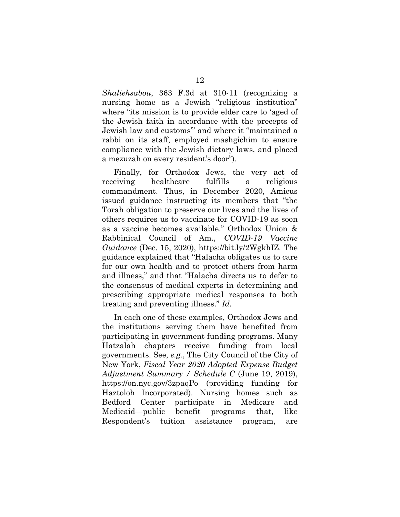*Shaliehsabou*, 363 F.3d at 310-11 (recognizing a nursing home as a Jewish "religious institution" where "its mission is to provide elder care to 'aged of the Jewish faith in accordance with the precepts of Jewish law and customs'" and where it "maintained a rabbi on its staff, employed mashgichim to ensure compliance with the Jewish dietary laws, and placed a mezuzah on every resident's door").

Finally, for Orthodox Jews, the very act of receiving healthcare fulfills a religious commandment. Thus, in December 2020, Amicus issued guidance instructing its members that "the Torah obligation to preserve our lives and the lives of others requires us to vaccinate for COVID-19 as soon as a vaccine becomes available." Orthodox Union & Rabbinical Council of Am., *COVID-19 Vaccine Guidance* (Dec. 15, 2020), https://bit.ly/2WgkhIZ. The guidance explained that "Halacha obligates us to care for our own health and to protect others from harm and illness," and that "Halacha directs us to defer to the consensus of medical experts in determining and prescribing appropriate medical responses to both treating and preventing illness." *Id.*

In each one of these examples, Orthodox Jews and the institutions serving them have benefited from participating in government funding programs. Many Hatzalah chapters receive funding from local governments. See, *e.g.*, The City Council of the City of New York, *Fiscal Year 2020 Adopted Expense Budget Adjustment Summary / Schedule C* (June 19, 2019), https://on.nyc.gov/3zpaqPo (providing funding for Haztoloh Incorporated). Nursing homes such as Bedford Center participate in Medicare and Medicaid—public benefit programs that, like Respondent's tuition assistance program, are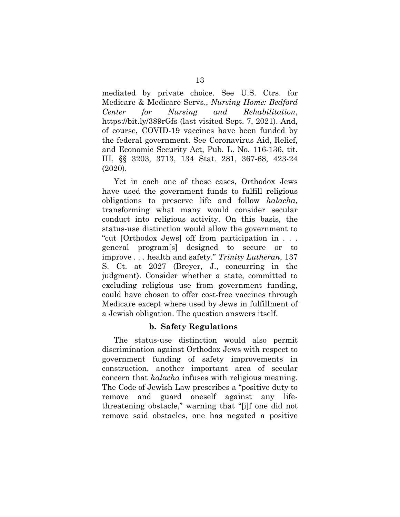mediated by private choice. See U.S. Ctrs. for Medicare & Medicare Servs., *Nursing Home: Bedford Center for Nursing and Rehabilitation*, https://bit.ly/389rGfs (last visited Sept. 7, 2021). And, of course, COVID-19 vaccines have been funded by the federal government. See Coronavirus Aid, Relief, and Economic Security Act, Pub. L. No. 116-136, tit. III, §§ 3203, 3713, 134 Stat. 281, 367-68, 423-24 (2020).

Yet in each one of these cases, Orthodox Jews have used the government funds to fulfill religious obligations to preserve life and follow *halacha*, transforming what many would consider secular conduct into religious activity. On this basis, the status-use distinction would allow the government to "cut [Orthodox Jews] off from participation in . . . general program[s] designed to secure or to improve . . . health and safety." *Trinity Lutheran*, 137 S. Ct. at 2027 (Breyer, J., concurring in the judgment). Consider whether a state, committed to excluding religious use from government funding, could have chosen to offer cost-free vaccines through Medicare except where used by Jews in fulfillment of a Jewish obligation. The question answers itself.

### **b. Safety Regulations**

The status-use distinction would also permit discrimination against Orthodox Jews with respect to government funding of safety improvements in construction, another important area of secular concern that *halacha* infuses with religious meaning. The Code of Jewish Law prescribes a "positive duty to remove and guard oneself against any lifethreatening obstacle," warning that "[i]f one did not remove said obstacles, one has negated a positive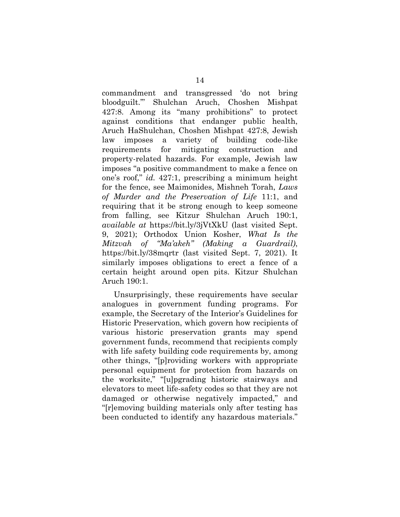commandment and transgressed 'do not bring bloodguilt.'" Shulchan Aruch, Choshen Mishpat 427:8. Among its "many prohibitions" to protect against conditions that endanger public health, Aruch HaShulchan, Choshen Mishpat 427:8, Jewish law imposes a variety of building code-like requirements for mitigating construction and property-related hazards. For example, Jewish law imposes "a positive commandment to make a fence on one's roof," *id.* 427:1, prescribing a minimum height for the fence, see Maimonides, Mishneh Torah, *Laws of Murder and the Preservation of Life* 11:1, and requiring that it be strong enough to keep someone from falling, see Kitzur Shulchan Aruch 190:1, *available at* https://bit.ly/3jVtXkU (last visited Sept. 9, 2021); Orthodox Union Kosher, *What Is the Mitzvah of "Ma'akeh" (Making a Guardrail)*, https://bit.ly/38mqrtr (last visited Sept. 7, 2021). It similarly imposes obligations to erect a fence of a certain height around open pits. Kitzur Shulchan Aruch 190:1.

Unsurprisingly, these requirements have secular analogues in government funding programs. For example, the Secretary of the Interior's Guidelines for Historic Preservation, which govern how recipients of various historic preservation grants may spend government funds, recommend that recipients comply with life safety building code requirements by, among other things, "[p]roviding workers with appropriate personal equipment for protection from hazards on the worksite," "[u]pgrading historic stairways and elevators to meet life-safety codes so that they are not damaged or otherwise negatively impacted," and "[r]emoving building materials only after testing has been conducted to identify any hazardous materials."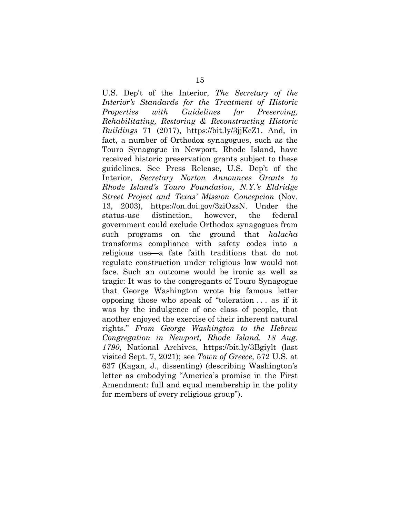U.S. Dep't of the Interior, *The Secretary of the Interior's Standards for the Treatment of Historic Properties with Guidelines for Preserving, Rehabilitating, Restoring & Reconstructing Historic Buildings* 71 (2017), https://bit.ly/3jjKcZ1. And, in fact, a number of Orthodox synagogues, such as the Touro Synagogue in Newport, Rhode Island, have received historic preservation grants subject to these guidelines. See Press Release, U.S. Dep't of the Interior, *Secretary Norton Announces Grants to Rhode Island's Touro Foundation, N.Y.'s Eldridge Street Project and Texas' Mission Concepcion* (Nov. 13, 2003), https://on.doi.gov/3ziOzsN. Under the status-use distinction, however, the federal government could exclude Orthodox synagogues from such programs on the ground that *halacha* transforms compliance with safety codes into a religious use—a fate faith traditions that do not regulate construction under religious law would not face. Such an outcome would be ironic as well as tragic: It was to the congregants of Touro Synagogue that George Washington wrote his famous letter opposing those who speak of "toleration . . . as if it was by the indulgence of one class of people, that another enjoyed the exercise of their inherent natural rights." *From George Washington to the Hebrew Congregation in Newport, Rhode Island, 18 Aug. 1790*, National Archives, https://bit.ly/3Bgiylt (last visited Sept. 7, 2021); see *Town of Greece*, 572 U.S. at 637 (Kagan, J., dissenting) (describing Washington's letter as embodying "America's promise in the First Amendment: full and equal membership in the polity for members of every religious group").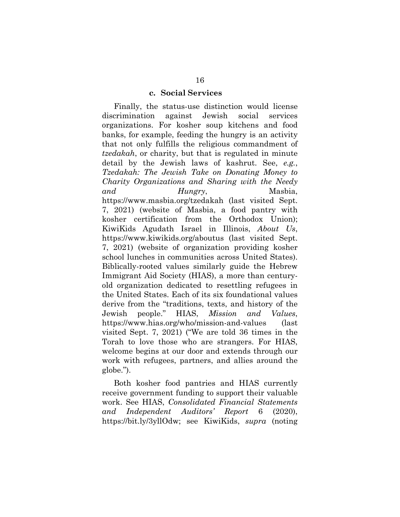#### **c. Social Services**

Finally, the status-use distinction would license discrimination against Jewish social services organizations. For kosher soup kitchens and food banks, for example, feeding the hungry is an activity that not only fulfills the religious commandment of *tzedakah*, or charity, but that is regulated in minute detail by the Jewish laws of kashrut. See, *e.g.*, *Tzedakah: The Jewish Take on Donating Money to Charity Organizations and Sharing with the Needy and Hungry*, Masbia, https://www.masbia.org/tzedakah (last visited Sept. 7, 2021) (website of Masbia, a food pantry with kosher certification from the Orthodox Union); KiwiKids Agudath Israel in Illinois, *About Us*, https://www.kiwikids.org/aboutus (last visited Sept. 7, 2021) (website of organization providing kosher school lunches in communities across United States). Biblically-rooted values similarly guide the Hebrew Immigrant Aid Society (HIAS), a more than centuryold organization dedicated to resettling refugees in the United States. Each of its six foundational values derive from the "traditions, texts, and history of the Jewish people." HIAS, *Mission and Values*, https://www.hias.org/who/mission-and-values (last visited Sept. 7, 2021) ("We are told 36 times in the Torah to love those who are strangers. For HIAS, welcome begins at our door and extends through our work with refugees, partners, and allies around the globe.").

Both kosher food pantries and HIAS currently receive government funding to support their valuable work. See HIAS, *Consolidated Financial Statements and Independent Auditors' Report* 6 (2020), https://bit.ly/3yllOdw; see KiwiKids, *supra* (noting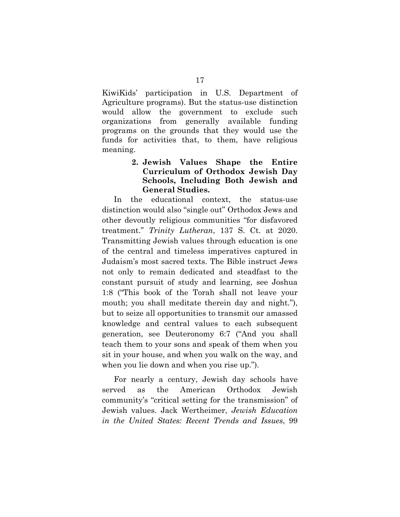KiwiKids' participation in U.S. Department of Agriculture programs). But the status-use distinction would allow the government to exclude such organizations from generally available funding programs on the grounds that they would use the funds for activities that, to them, have religious meaning.

## **2. Jewish Values Shape the Entire Curriculum of Orthodox Jewish Day Schools, Including Both Jewish and General Studies.**

In the educational context, the status-use distinction would also "single out" Orthodox Jews and other devoutly religious communities "for disfavored treatment." *Trinity Lutheran*, 137 S. Ct. at 2020. Transmitting Jewish values through education is one of the central and timeless imperatives captured in Judaism's most sacred texts. The Bible instruct Jews not only to remain dedicated and steadfast to the constant pursuit of study and learning, see Joshua 1:8 ("This book of the Torah shall not leave your mouth; you shall meditate therein day and night."), but to seize all opportunities to transmit our amassed knowledge and central values to each subsequent generation, see Deuteronomy 6:7 ("And you shall teach them to your sons and speak of them when you sit in your house, and when you walk on the way, and when you lie down and when you rise up.").

For nearly a century, Jewish day schools have served as the American Orthodox Jewish community's "critical setting for the transmission" of Jewish values. Jack Wertheimer, *Jewish Education in the United States: Recent Trends and Issues*, 99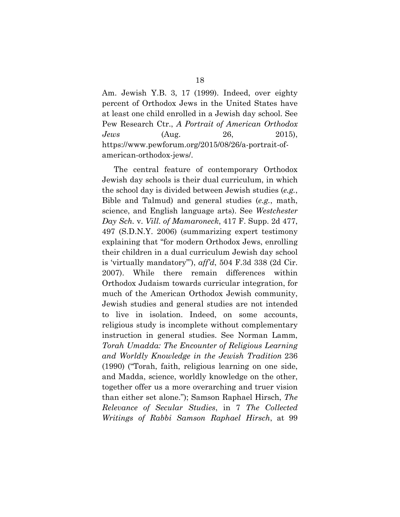Am. Jewish Y.B. 3, 17 (1999). Indeed, over eighty percent of Orthodox Jews in the United States have at least one child enrolled in a Jewish day school. See Pew Research Ctr., *A Portrait of American Orthodox Jews* (Aug. 26, 2015), https://www.pewforum.org/2015/08/26/a-portrait-ofamerican-orthodox-jews/.

The central feature of contemporary Orthodox Jewish day schools is their dual curriculum, in which the school day is divided between Jewish studies (*e.g.*, Bible and Talmud) and general studies (*e.g.*, math, science, and English language arts). See *Westchester Day Sch.* v. *Vill. of Mamaroneck*, 417 F. Supp. 2d 477, 497 (S.D.N.Y. 2006) (summarizing expert testimony explaining that "for modern Orthodox Jews, enrolling their children in a dual curriculum Jewish day school is 'virtually mandatory'"), *aff'd*, 504 F.3d 338 (2d Cir. 2007). While there remain differences within Orthodox Judaism towards curricular integration, for much of the American Orthodox Jewish community, Jewish studies and general studies are not intended to live in isolation. Indeed, on some accounts, religious study is incomplete without complementary instruction in general studies. See Norman Lamm, *Torah Umadda: The Encounter of Religious Learning and Worldly Knowledge in the Jewish Tradition* 236 (1990) ("Torah, faith, religious learning on one side, and Madda, science, worldly knowledge on the other, together offer us a more overarching and truer vision than either set alone."); Samson Raphael Hirsch, *The Relevance of Secular Studies*, in 7 *The Collected Writings of Rabbi Samson Raphael Hirsch*, at 99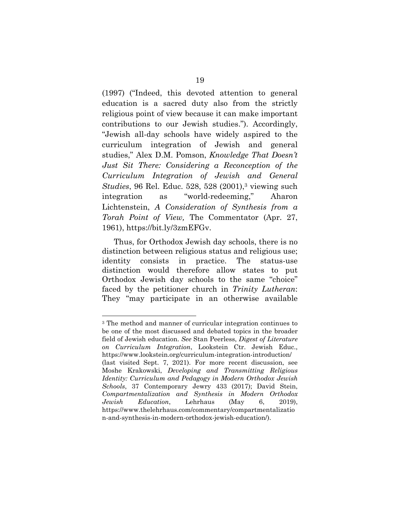(1997) ("Indeed, this devoted attention to general education is a sacred duty also from the strictly religious point of view because it can make important contributions to our Jewish studies."). Accordingly, "Jewish all-day schools have widely aspired to the curriculum integration of Jewish and general studies," Alex D.M. Pomson, *Knowledge That Doesn't Just Sit There: Considering a Reconception of the Curriculum Integration of Jewish and General Studies*, 96 Rel. Educ. 528, 528 (2001),<sup>3</sup> viewing such integration as "world-redeeming," Aharon Lichtenstein, *A Consideration of Synthesis from a Torah Point of View,* The Commentator (Apr. 27, 1961), https://bit.ly/3zmEFGv.

Thus, for Orthodox Jewish day schools, there is no distinction between religious status and religious use; identity consists in practice. The status-use distinction would therefore allow states to put Orthodox Jewish day schools to the same "choice" faced by the petitioner church in *Trinity Lutheran*: They "may participate in an otherwise available

<sup>3</sup> The method and manner of curricular integration continues to be one of the most discussed and debated topics in the broader field of Jewish education. *See* Stan Peerless, *Digest of Literature on Curriculum Integration*, Lookstein Ctr. Jewish Educ., https://www.lookstein.org/curriculum-integration-introduction/ (last visited Sept. 7, 2021). For more recent discussion, see Moshe Krakowski, *Developing and Transmitting Religious Identity: Curriculum and Pedagogy in Modern Orthodox Jewish Schools*, 37 Contemporary Jewry 433 (2017); David Stein, *Compartmentalization and Synthesis in Modern Orthodox Jewish Education*, Lehrhaus (May 6, 2019), https://www.thelehrhaus.com/commentary/compartmentalizatio n-and-synthesis-in-modern-orthodox-jewish-education/).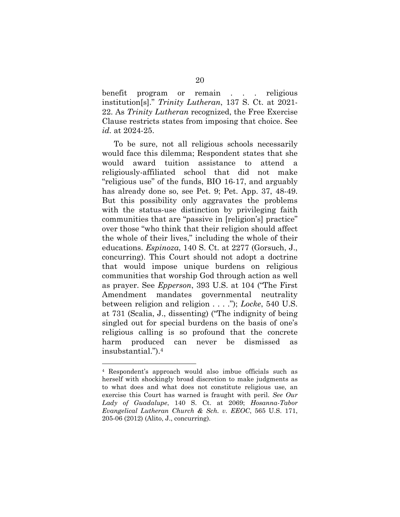benefit program or remain . . . religious institution[s]." *Trinity Lutheran*, 137 S. Ct. at 2021- 22. As *Trinity Lutheran* recognized, the Free Exercise Clause restricts states from imposing that choice. See *id.* at 2024-25.

To be sure, not all religious schools necessarily would face this dilemma; Respondent states that she would award tuition assistance to attend a religiously-affiliated school that did not make "religious use" of the funds, BIO 16-17, and arguably has already done so, see Pet. 9; Pet. App. 37, 48-49. But this possibility only aggravates the problems with the status-use distinction by privileging faith communities that are "passive in [religion's] practice" over those "who think that their religion should affect the whole of their lives," including the whole of their educations. *Espinoza*, 140 S. Ct. at 2277 (Gorsuch, J., concurring). This Court should not adopt a doctrine that would impose unique burdens on religious communities that worship God through action as well as prayer. See *Epperson*, 393 U.S. at 104 ("The First Amendment mandates governmental neutrality between religion and religion . . . ."); *Locke*, 540 U.S. at 731 (Scalia, J., dissenting) ("The indignity of being singled out for special burdens on the basis of one's religious calling is so profound that the concrete harm produced can never be dismissed as insubstantial.").4

<sup>4</sup> Respondent's approach would also imbue officials such as herself with shockingly broad discretion to make judgments as to what does and what does not constitute religious use, an exercise this Court has warned is fraught with peril. *See Our Lady of Guadalupe*, 140 S. Ct. at 2069; *Hosanna-Tabor Evangelical Lutheran Church & Sch. v. EEOC*, 565 U.S. 171, 205-06 (2012) (Alito, J., concurring).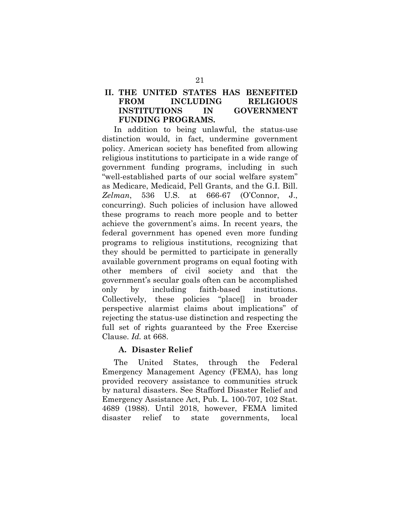## **II. THE UNITED STATES HAS BENEFITED FROM INCLUDING RELIGIOUS INSTITUTIONS IN GOVERNMENT FUNDING PROGRAMS.**

In addition to being unlawful, the status-use distinction would, in fact, undermine government policy. American society has benefited from allowing religious institutions to participate in a wide range of government funding programs, including in such "well-established parts of our social welfare system" as Medicare, Medicaid, Pell Grants, and the G.I. Bill. *Zelman*, 536 U.S. at 666-67 (O'Connor, J., concurring). Such policies of inclusion have allowed these programs to reach more people and to better achieve the government's aims. In recent years, the federal government has opened even more funding programs to religious institutions, recognizing that they should be permitted to participate in generally available government programs on equal footing with other members of civil society and that the government's secular goals often can be accomplished only by including faith-based institutions. Collectively, these policies "place[] in broader perspective alarmist claims about implications" of rejecting the status-use distinction and respecting the full set of rights guaranteed by the Free Exercise Clause. *Id.* at 668.

### **A. Disaster Relief**

The United States, through the Federal Emergency Management Agency (FEMA), has long provided recovery assistance to communities struck by natural disasters. See Stafford Disaster Relief and Emergency Assistance Act, Pub. L. 100-707, 102 Stat. 4689 (1988). Until 2018, however, FEMA limited disaster relief to state governments, local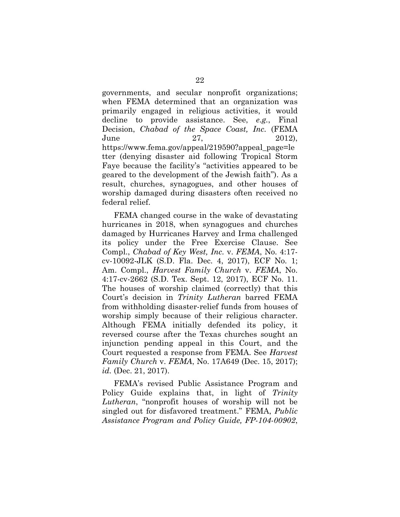governments, and secular nonprofit organizations; when FEMA determined that an organization was primarily engaged in religious activities, it would decline to provide assistance. See, *e.g.*, Final Decision, *Chabad of the Space Coast, Inc.* (FEMA June 27, 2012), https://www.fema.gov/appeal/219590?appeal\_page=le tter (denying disaster aid following Tropical Storm Faye because the facility's "activities appeared to be geared to the development of the Jewish faith"). As a result, churches, synagogues, and other houses of worship damaged during disasters often received no federal relief.

FEMA changed course in the wake of devastating hurricanes in 2018, when synagogues and churches damaged by Hurricanes Harvey and Irma challenged its policy under the Free Exercise Clause. See Compl., *Chabad of Key West, Inc.* v. *FEMA*, No. 4:17 cv-10092-JLK (S.D. Fla. Dec. 4, 2017), ECF No. 1; Am. Compl., *Harvest Family Church* v. *FEMA*, No. 4:17-cv-2662 (S.D. Tex. Sept. 12, 2017), ECF No. 11. The houses of worship claimed (correctly) that this Court's decision in *Trinity Lutheran* barred FEMA from withholding disaster-relief funds from houses of worship simply because of their religious character. Although FEMA initially defended its policy, it reversed course after the Texas churches sought an injunction pending appeal in this Court, and the Court requested a response from FEMA. See *Harvest Family Church* v. *FEMA*, No. 17A649 (Dec. 15, 2017); *id.* (Dec. 21, 2017).

FEMA's revised Public Assistance Program and Policy Guide explains that, in light of *Trinity Lutheran*, "nonprofit houses of worship will not be singled out for disfavored treatment." FEMA, *Public Assistance Program and Policy Guide, FP-104-00902*,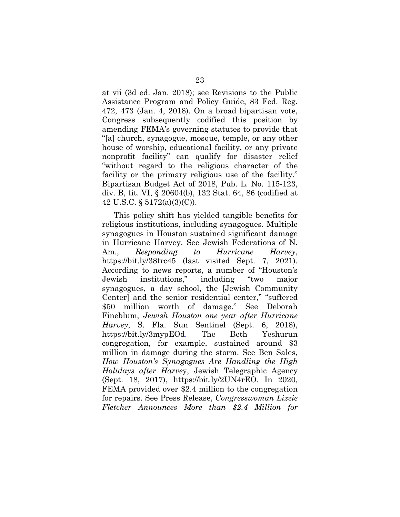at vii (3d ed. Jan. 2018); see Revisions to the Public Assistance Program and Policy Guide, 83 Fed. Reg. 472, 473 (Jan. 4, 2018). On a broad bipartisan vote, Congress subsequently codified this position by amending FEMA's governing statutes to provide that "[a] church, synagogue, mosque, temple, or any other house of worship, educational facility, or any private nonprofit facility" can qualify for disaster relief "without regard to the religious character of the facility or the primary religious use of the facility." Bipartisan Budget Act of 2018, Pub. L. No. 115-123, div. B, tit. VI, § 20604(b), 132 Stat. 64, 86 (codified at 42 U.S.C. § 5172(a)(3)(C)).

This policy shift has yielded tangible benefits for religious institutions, including synagogues. Multiple synagogues in Houston sustained significant damage in Hurricane Harvey. See Jewish Federations of N. Am., *Responding to Hurricane Harvey*, https://bit.ly/38trc45 (last visited Sept. 7, 2021). According to news reports, a number of "Houston's Jewish institutions," including "two major synagogues, a day school, the [Jewish Community Center] and the senior residential center," "suffered \$50 million worth of damage." See Deborah Fineblum, *Jewish Houston one year after Hurricane Harvey*, S. Fla. Sun Sentinel (Sept. 6, 2018), https://bit.ly/3mypEOd. The Beth Yeshurun congregation, for example, sustained around \$3 million in damage during the storm. See Ben Sales, *How Houston's Synagogues Are Handling the High Holidays after Harve*y, Jewish Telegraphic Agency (Sept. 18, 2017), https://bit.ly/2UN4rEO. In 2020, FEMA provided over \$2.4 million to the congregation for repairs. See Press Release, *Congresswoman Lizzie Fletcher Announces More than \$2.4 Million for*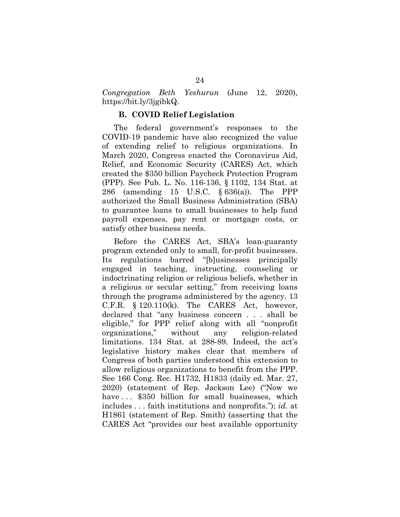*Congregation Beth Yeshurun* (June 12, 2020), https://bit.ly/3jgibkQ.

#### **B. COVID Relief Legislation**

The federal government's responses to the COVID-19 pandemic have also recognized the value of extending relief to religious organizations. In March 2020, Congress enacted the Coronavirus Aid, Relief, and Economic Security (CARES) Act, which created the \$350 billion Paycheck Protection Program (PPP). See Pub. L. No. 116-136, § 1102, 134 Stat. at 286 (amending 15 U.S.C. § 636(a)). The PPP authorized the Small Business Administration (SBA) to guarantee loans to small businesses to help fund payroll expenses, pay rent or mortgage costs, or satisfy other business needs.

Before the CARES Act, SBA's loan-guaranty program extended only to small, for-profit businesses. Its regulations barred "[b]usinesses principally engaged in teaching, instructing, counseling or indoctrinating religion or religious beliefs, whether in a religious or secular setting," from receiving loans through the programs administered by the agency. 13 C.F.R. § 120.110(k). The CARES Act, however, declared that "any business concern . . . shall be eligible," for PPP relief along with all "nonprofit organizations," without any religion-related limitations. 134 Stat. at 288-89. Indeed, the act's legislative history makes clear that members of Congress of both parties understood this extension to allow religious organizations to benefit from the PPP. See 166 Cong. Rec. H1732, H1833 (daily ed. Mar. 27, 2020) (statement of Rep. Jackson Lee) ("Now we have ... \$350 billion for small businesses, which includes . . . faith institutions and nonprofits."); *id.* at H1861 (statement of Rep. Smith) (asserting that the CARES Act "provides our best available opportunity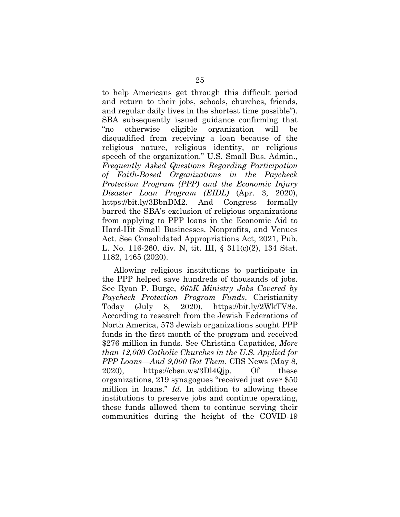to help Americans get through this difficult period and return to their jobs, schools, churches, friends, and regular daily lives in the shortest time possible"). SBA subsequently issued guidance confirming that "no otherwise eligible organization will be disqualified from receiving a loan because of the religious nature, religious identity, or religious speech of the organization." U.S. Small Bus. Admin., *Frequently Asked Questions Regarding Participation of Faith-Based Organizations in the Paycheck Protection Program (PPP) and the Economic Injury Disaster Loan Program (EIDL)* (Apr. 3, 2020), https://bit.ly/3BbnDM2. And Congress formally barred the SBA's exclusion of religious organizations from applying to PPP loans in the Economic Aid to Hard-Hit Small Businesses, Nonprofits, and Venues Act. See Consolidated Appropriations Act, 2021, Pub. L. No. 116-260, div. N, tit. III, § 311(c)(2), 134 Stat. 1182, 1465 (2020).

Allowing religious institutions to participate in the PPP helped save hundreds of thousands of jobs. See Ryan P. Burge, *665K Ministry Jobs Covered by Paycheck Protection Program Funds*, Christianity Today (July 8, 2020), https://bit.ly/2WkTV8e. According to research from the Jewish Federations of North America, 573 Jewish organizations sought PPP funds in the first month of the program and received \$276 million in funds. See Christina Capatides, *More than 12,000 Catholic Churches in the U.S. Applied for PPP Loans—And 9,000 Got Them*, CBS News (May 8, 2020), https://cbsn.ws/3Dl4Qjp. Of these organizations, 219 synagogues "received just over \$50 million in loans." *Id.* In addition to allowing these institutions to preserve jobs and continue operating, these funds allowed them to continue serving their communities during the height of the COVID-19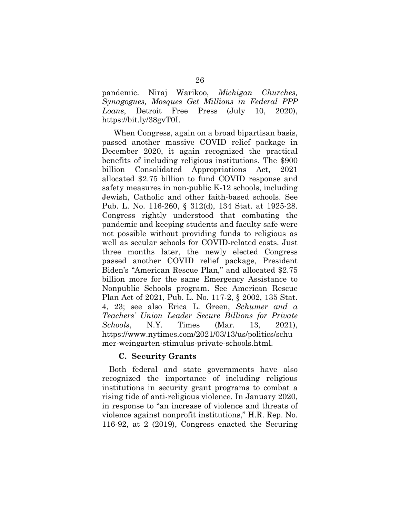pandemic. Niraj Warikoo, *Michigan Churches, Synagogues, Mosques Get Millions in Federal PPP Loans*, Detroit Free Press (July 10, 2020), https://bit.ly/38gvT0I.

When Congress, again on a broad bipartisan basis, passed another massive COVID relief package in December 2020, it again recognized the practical benefits of including religious institutions. The \$900 billion Consolidated Appropriations Act, 2021 allocated \$2.75 billion to fund COVID response and safety measures in non-public K-12 schools, including Jewish, Catholic and other faith-based schools. See Pub. L. No. 116-260, § 312(d), 134 Stat. at 1925-28. Congress rightly understood that combating the pandemic and keeping students and faculty safe were not possible without providing funds to religious as well as secular schools for COVID-related costs. Just three months later, the newly elected Congress passed another COVID relief package, President Biden's "American Rescue Plan," and allocated \$2.75 billion more for the same Emergency Assistance to Nonpublic Schools program. See American Rescue Plan Act of 2021, Pub. L. No. 117-2, § 2002, 135 Stat. 4, 23; see also Erica L. Green, *Schumer and a Teachers' Union Leader Secure Billions for Private Schools*, N.Y. Times (Mar. 13, 2021), https://www.nytimes.com/2021/03/13/us/politics/schu mer-weingarten-stimulus-private-schools.html.

### **C. Security Grants**

Both federal and state governments have also recognized the importance of including religious institutions in security grant programs to combat a rising tide of anti-religious violence. In January 2020, in response to "an increase of violence and threats of violence against nonprofit institutions," H.R. Rep. No. 116-92, at 2 (2019), Congress enacted the Securing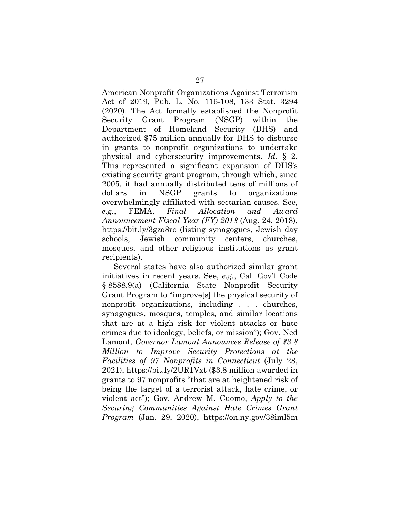American Nonprofit Organizations Against Terrorism Act of 2019, Pub. L. No. 116-108, 133 Stat. 3294 (2020). The Act formally established the Nonprofit Security Grant Program (NSGP) within the Department of Homeland Security (DHS) and authorized \$75 million annually for DHS to disburse in grants to nonprofit organizations to undertake physical and cybersecurity improvements. *Id.* § 2. This represented a significant expansion of DHS's existing security grant program, through which, since 2005, it had annually distributed tens of millions of dollars in NSGP grants to organizations overwhelmingly affiliated with sectarian causes. See, *e.g.*, FEMA, *Final Allocation and Award Announcement Fiscal Year (FY) 2018* (Aug. 24, 2018), https://bit.ly/3gzo8ro (listing synagogues, Jewish day schools, Jewish community centers, churches, mosques, and other religious institutions as grant recipients).

Several states have also authorized similar grant initiatives in recent years. See, *e.g.*, Cal. Gov't Code § 8588.9(a) (California State Nonprofit Security Grant Program to "improve[s] the physical security of nonprofit organizations, including . . . churches, synagogues, mosques, temples, and similar locations that are at a high risk for violent attacks or hate crimes due to ideology, beliefs, or mission"); Gov. Ned Lamont, *Governor Lamont Announces Release of \$3.8 Million to Improve Security Protections at the Facilities of 97 Nonprofits in Connecticut* (July 28, 2021), https://bit.ly/2UR1Vxt (\$3.8 million awarded in grants to 97 nonprofits "that are at heightened risk of being the target of a terrorist attack, hate crime, or violent act"); Gov. Andrew M. Cuomo, *Apply to the Securing Communities Against Hate Crimes Grant Program* (Jan. 29, 2020), https://on.ny.gov/38iml5m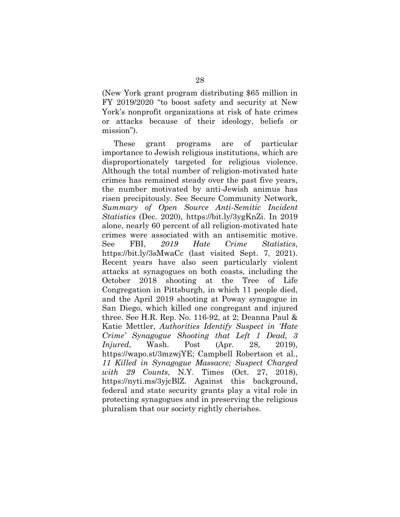(New York grant program distributing \$65 million in FY 2019/2020 "to boost safety and security at New York's nonprofit organizations at risk of hate crimes or attacks because of their ideology, beliefs or mission").

These grant programs are of particular importance to Jewish religious institutions, which are disproportionately targeted for religious violence. Although the total number of religion-motivated hate crimes has remained steady over the past five years, the number motivated by anti-Jewish animus has risen precipitously. See Secure Community Network*, Summary of Open Source Anti-Semitic Incident Statistics* (Dec. 2020), https://bit.ly/3ygKnZi. In 2019 alone, nearly 60 percent of all religion-motivated hate crimes were associated with an antisemitic motive. See FBI, *2019 Hate Crime Statistics*, https://bit.ly/3sMwaCc (last visited Sept. 7, 2021). Recent years have also seen particularly violent attacks at synagogues on both coasts, including the October 2018 shooting at the Tree of Life Congregation in Pittsburgh, in which 11 people died, and the April 2019 shooting at Poway synagogue in San Diego, which killed one congregant and injured three. See H.R. Rep. No. 116-92, at 2; Deanna Paul & Katie Mettler, *Authorities Identify Suspect in 'Hate Crime' Synagogue Shooting that Left 1 Dead, 3 Injured*, Wash. Post (Apr. 28, 2019), https://wapo.st/3mzwjYE; Campbell Robertson et al., *11 Killed in Synagogue Massacre; Suspect Charged with 29 Counts*, N.Y. Times (Oct. 27, 2018), https://nyti.ms/3yjcBlZ. Against this background, federal and state security grants play a vital role in protecting synagogues and in preserving the religious pluralism that our society rightly cherishes.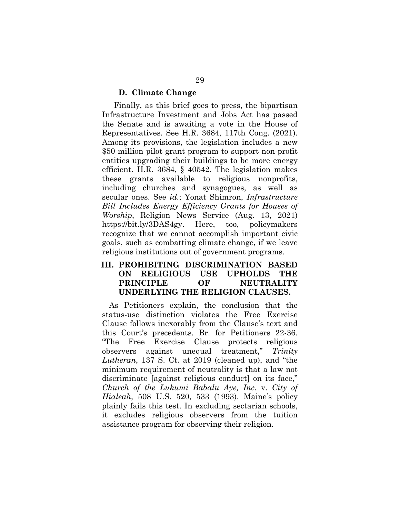#### **D. Climate Change**

Finally, as this brief goes to press, the bipartisan Infrastructure Investment and Jobs Act has passed the Senate and is awaiting a vote in the House of Representatives. See H.R. 3684, 117th Cong. (2021). Among its provisions, the legislation includes a new \$50 million pilot grant program to support non-profit entities upgrading their buildings to be more energy efficient. H.R. 3684, § 40542. The legislation makes these grants available to religious nonprofits, including churches and synagogues, as well as secular ones. See *id.*; Yonat Shimron, *Infrastructure Bill Includes Energy Efficiency Grants for Houses of Worship*, Religion News Service (Aug. 13, 2021) https://bit.ly/3DAS4gy. Here, too, policymakers recognize that we cannot accomplish important civic goals, such as combatting climate change, if we leave religious institutions out of government programs.

### **III. PROHIBITING DISCRIMINATION BASED ON RELIGIOUS USE UPHOLDS THE PRINCIPLE OF NEUTRALITY UNDERLYING THE RELIGION CLAUSES.**

As Petitioners explain, the conclusion that the status-use distinction violates the Free Exercise Clause follows inexorably from the Clause's text and this Court's precedents. Br. for Petitioners 22-36. "The Free Exercise Clause protects religious observers against unequal treatment," *Trinity Lutheran*, 137 S. Ct. at 2019 (cleaned up), and "the minimum requirement of neutrality is that a law not discriminate [against religious conduct] on its face," *Church of the Lukumi Babalu Aye, Inc.* v. *City of Hialeah*, 508 U.S. 520, 533 (1993). Maine's policy plainly fails this test. In excluding sectarian schools, it excludes religious observers from the tuition assistance program for observing their religion.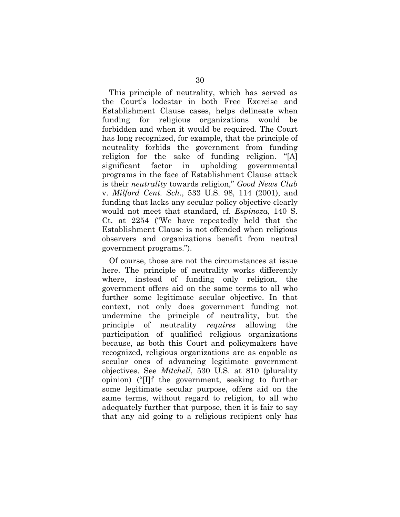This principle of neutrality, which has served as the Court's lodestar in both Free Exercise and Establishment Clause cases, helps delineate when funding for religious organizations would be forbidden and when it would be required. The Court has long recognized, for example, that the principle of neutrality forbids the government from funding religion for the sake of funding religion. "[A] significant factor in upholding governmental programs in the face of Establishment Clause attack is their *neutrality* towards religion," *Good News Club* v. *Milford Cent. Sch.*, 533 U.S. 98, 114 (2001), and funding that lacks any secular policy objective clearly would not meet that standard, cf. *Espinoza*, 140 S. Ct. at 2254 ("We have repeatedly held that the Establishment Clause is not offended when religious observers and organizations benefit from neutral government programs.").

Of course, those are not the circumstances at issue here. The principle of neutrality works differently where, instead of funding only religion, the government offers aid on the same terms to all who further some legitimate secular objective. In that context, not only does government funding not undermine the principle of neutrality, but the principle of neutrality *requires* allowing the participation of qualified religious organizations because, as both this Court and policymakers have recognized, religious organizations are as capable as secular ones of advancing legitimate government objectives. See *Mitchell*, 530 U.S. at 810 (plurality opinion) ("[I]f the government, seeking to further some legitimate secular purpose, offers aid on the same terms, without regard to religion, to all who adequately further that purpose, then it is fair to say that any aid going to a religious recipient only has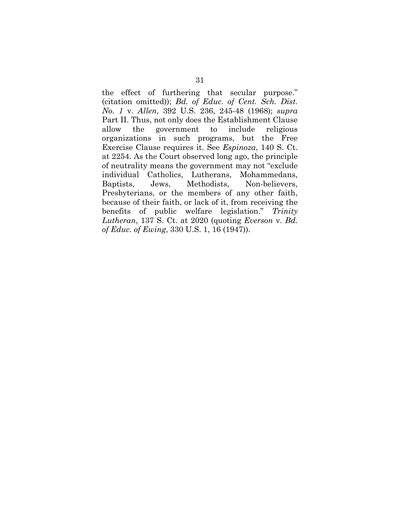the effect of furthering that secular purpose." (citation omitted)); *Bd. of Educ. of Cent. Sch. Dist. No. 1* v. *Allen*, 392 U.S. 236, 245-48 (1968); *supra*  Part II. Thus, not only does the Establishment Clause allow the government to include religious organizations in such programs, but the Free Exercise Clause requires it. See *Espinoza*, 140 S. Ct. at 2254. As the Court observed long ago, the principle of neutrality means the government may not "exclude individual Catholics, Lutherans, Mohammedans, Baptists, Jews, Methodists, Non-believers, Presbyterians, or the members of any other faith, because of their faith, or lack of it, from receiving the benefits of public welfare legislation." *Trinity Lutheran*, 137 S. Ct. at 2020 (quoting *Everson* v. *Bd. of Educ. of Ewing*, 330 U.S. 1, 16 (1947)).